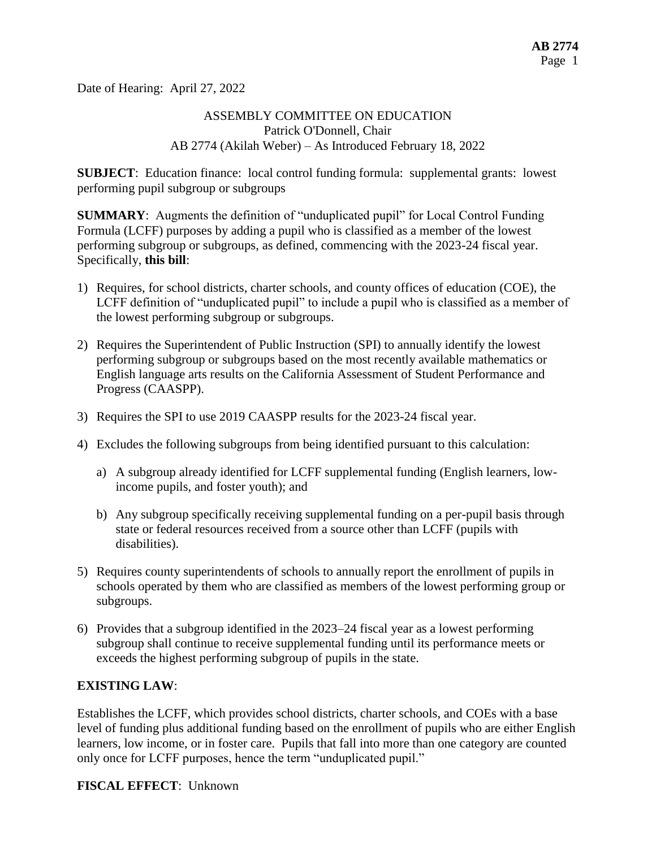Date of Hearing: April 27, 2022

### ASSEMBLY COMMITTEE ON EDUCATION Patrick O'Donnell, Chair AB 2774 (Akilah Weber) – As Introduced February 18, 2022

**SUBJECT**: Education finance: local control funding formula: supplemental grants: lowest performing pupil subgroup or subgroups

**SUMMARY**: Augments the definition of "unduplicated pupil" for Local Control Funding Formula (LCFF) purposes by adding a pupil who is classified as a member of the lowest performing subgroup or subgroups, as defined, commencing with the 2023-24 fiscal year. Specifically, **this bill**:

- 1) Requires, for school districts, charter schools, and county offices of education (COE), the LCFF definition of "unduplicated pupil" to include a pupil who is classified as a member of the lowest performing subgroup or subgroups.
- 2) Requires the Superintendent of Public Instruction (SPI) to annually identify the lowest performing subgroup or subgroups based on the most recently available mathematics or English language arts results on the California Assessment of Student Performance and Progress (CAASPP).
- 3) Requires the SPI to use 2019 CAASPP results for the 2023-24 fiscal year.
- 4) Excludes the following subgroups from being identified pursuant to this calculation:
	- a) A subgroup already identified for LCFF supplemental funding (English learners, lowincome pupils, and foster youth); and
	- b) Any subgroup specifically receiving supplemental funding on a per-pupil basis through state or federal resources received from a source other than LCFF (pupils with disabilities).
- 5) Requires county superintendents of schools to annually report the enrollment of pupils in schools operated by them who are classified as members of the lowest performing group or subgroups.
- 6) Provides that a subgroup identified in the 2023–24 fiscal year as a lowest performing subgroup shall continue to receive supplemental funding until its performance meets or exceeds the highest performing subgroup of pupils in the state.

### **EXISTING LAW**:

Establishes the LCFF, which provides school districts, charter schools, and COEs with a base level of funding plus additional funding based on the enrollment of pupils who are either English learners, low income, or in foster care. Pupils that fall into more than one category are counted only once for LCFF purposes, hence the term "unduplicated pupil."

**FISCAL EFFECT**: Unknown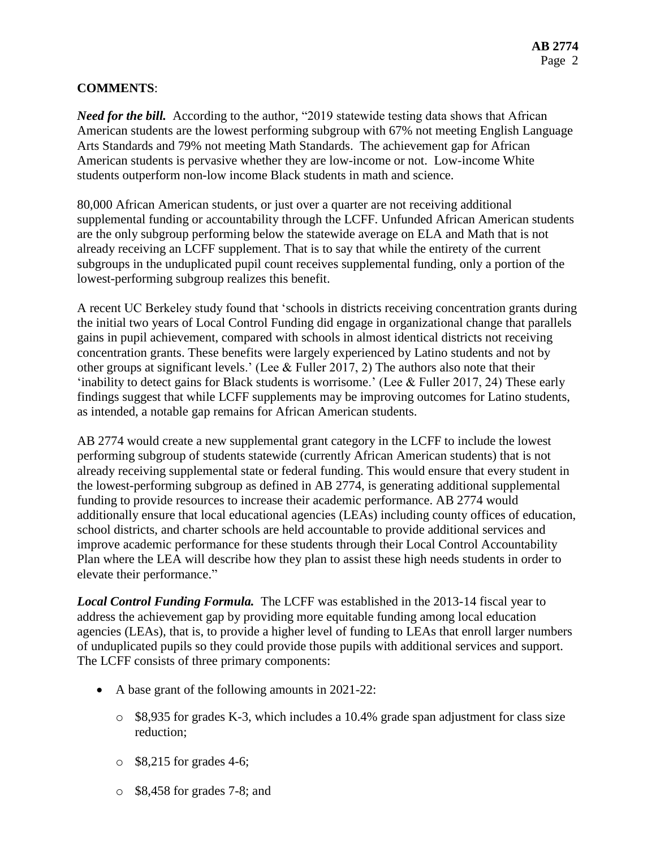### **COMMENTS**:

*Need for the bill.* According to the author, "2019 statewide testing data shows that African American students are the lowest performing subgroup with 67% not meeting English Language Arts Standards and 79% not meeting Math Standards. The achievement gap for African American students is pervasive whether they are low-income or not. Low-income White students outperform non-low income Black students in math and science.

80,000 African American students, or just over a quarter are not receiving additional supplemental funding or accountability through the LCFF. Unfunded African American students are the only subgroup performing below the statewide average on ELA and Math that is not already receiving an LCFF supplement. That is to say that while the entirety of the current subgroups in the unduplicated pupil count receives supplemental funding, only a portion of the lowest-performing subgroup realizes this benefit.

A recent UC Berkeley study found that 'schools in districts receiving concentration grants during the initial two years of Local Control Funding did engage in organizational change that parallels gains in pupil achievement, compared with schools in almost identical districts not receiving concentration grants. These benefits were largely experienced by Latino students and not by other groups at significant levels.' (Lee & Fuller 2017, 2) The authors also note that their 'inability to detect gains for Black students is worrisome.' (Lee & Fuller 2017, 24) These early findings suggest that while LCFF supplements may be improving outcomes for Latino students, as intended, a notable gap remains for African American students.

AB 2774 would create a new supplemental grant category in the LCFF to include the lowest performing subgroup of students statewide (currently African American students) that is not already receiving supplemental state or federal funding. This would ensure that every student in the lowest-performing subgroup as defined in AB 2774, is generating additional supplemental funding to provide resources to increase their academic performance. AB 2774 would additionally ensure that local educational agencies (LEAs) including county offices of education, school districts, and charter schools are held accountable to provide additional services and improve academic performance for these students through their Local Control Accountability Plan where the LEA will describe how they plan to assist these high needs students in order to elevate their performance."

*Local Control Funding Formula.* The LCFF was established in the 2013-14 fiscal year to address the achievement gap by providing more equitable funding among local education agencies (LEAs), that is, to provide a higher level of funding to LEAs that enroll larger numbers of unduplicated pupils so they could provide those pupils with additional services and support. The LCFF consists of three primary components:

- A base grant of the following amounts in 2021-22:
	- $\circ$  \$8,935 for grades K-3, which includes a 10.4% grade span adjustment for class size reduction;
	- $\circ$  \$8,215 for grades 4-6;
	- o \$8,458 for grades 7-8; and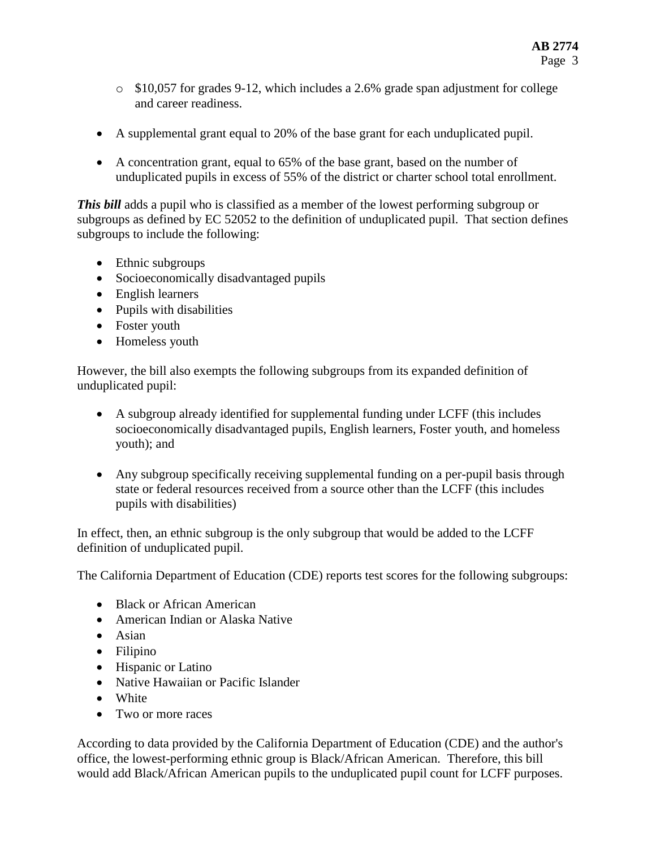- o \$10,057 for grades 9-12, which includes a 2.6% grade span adjustment for college and career readiness.
- A supplemental grant equal to 20% of the base grant for each unduplicated pupil.
- A concentration grant, equal to 65% of the base grant, based on the number of unduplicated pupils in excess of 55% of the district or charter school total enrollment.

*This bill* adds a pupil who is classified as a member of the lowest performing subgroup or subgroups as defined by EC 52052 to the definition of unduplicated pupil. That section defines subgroups to include the following:

- Ethnic subgroups
- Socioeconomically disadvantaged pupils
- English learners
- Pupils with disabilities
- Foster youth
- Homeless youth

However, the bill also exempts the following subgroups from its expanded definition of unduplicated pupil:

- A subgroup already identified for supplemental funding under LCFF (this includes socioeconomically disadvantaged pupils, English learners, Foster youth, and homeless youth); and
- Any subgroup specifically receiving supplemental funding on a per-pupil basis through state or federal resources received from a source other than the LCFF (this includes pupils with disabilities)

In effect, then, an ethnic subgroup is the only subgroup that would be added to the LCFF definition of unduplicated pupil.

The California Department of Education (CDE) reports test scores for the following subgroups:

- Black or African American
- American Indian or Alaska Native
- Asian
- Filipino
- Hispanic or Latino
- Native Hawaiian or Pacific Islander
- White
- Two or more races

According to data provided by the California Department of Education (CDE) and the author's office, the lowest-performing ethnic group is Black/African American. Therefore, this bill would add Black/African American pupils to the unduplicated pupil count for LCFF purposes.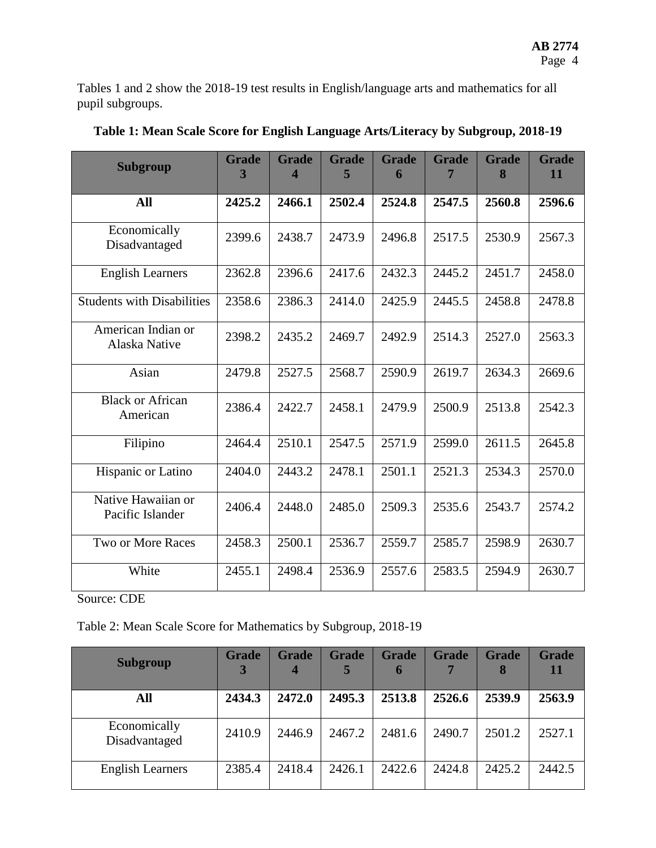Tables 1 and 2 show the 2018-19 test results in English/language arts and mathematics for all pupil subgroups.

| <b>Subgroup</b>                        | <b>Grade</b><br>3 | <b>Grade</b><br>4 | <b>Grade</b><br>5 | <b>Grade</b><br>6 | <b>Grade</b><br>7 | <b>Grade</b><br>8 | <b>Grade</b><br>11 |
|----------------------------------------|-------------------|-------------------|-------------------|-------------------|-------------------|-------------------|--------------------|
| All                                    | 2425.2            | 2466.1            | 2502.4            | 2524.8            | 2547.5            | 2560.8            | 2596.6             |
| Economically<br>Disadvantaged          | 2399.6            | 2438.7            | 2473.9            | 2496.8            | 2517.5            | 2530.9            | 2567.3             |
| <b>English Learners</b>                | 2362.8            | 2396.6            | 2417.6            | 2432.3            | 2445.2            | 2451.7            | 2458.0             |
| <b>Students with Disabilities</b>      | 2358.6            | 2386.3            | 2414.0            | 2425.9            | 2445.5            | 2458.8            | 2478.8             |
| American Indian or<br>Alaska Native    | 2398.2            | 2435.2            | 2469.7            | 2492.9            | 2514.3            | 2527.0            | 2563.3             |
| Asian                                  | 2479.8            | 2527.5            | 2568.7            | 2590.9            | 2619.7            | 2634.3            | 2669.6             |
| <b>Black or African</b><br>American    | 2386.4            | 2422.7            | 2458.1            | 2479.9            | 2500.9            | 2513.8            | 2542.3             |
| Filipino                               | 2464.4            | 2510.1            | 2547.5            | 2571.9            | 2599.0            | 2611.5            | 2645.8             |
| Hispanic or Latino                     | 2404.0            | 2443.2            | 2478.1            | 2501.1            | 2521.3            | 2534.3            | 2570.0             |
| Native Hawaiian or<br>Pacific Islander | 2406.4            | 2448.0            | 2485.0            | 2509.3            | 2535.6            | 2543.7            | 2574.2             |
| Two or More Races                      | 2458.3            | 2500.1            | 2536.7            | 2559.7            | 2585.7            | 2598.9            | 2630.7             |
| White                                  | 2455.1            | 2498.4            | 2536.9            | 2557.6            | 2583.5            | 2594.9            | 2630.7             |

**Table 1: Mean Scale Score for English Language Arts/Literacy by Subgroup, 2018-19**

Source: CDE

Table 2: Mean Scale Score for Mathematics by Subgroup, 2018-19

| <b>Subgroup</b>               | <b>Grade</b> | <b>Grade</b><br>4 | <b>Grade</b><br>5 | <b>Grade</b><br>6 | <b>Grade</b><br>7 | <b>Grade</b><br>8 | <b>Grade</b><br>11 |
|-------------------------------|--------------|-------------------|-------------------|-------------------|-------------------|-------------------|--------------------|
| All                           | 2434.3       | 2472.0            | 2495.3            | 2513.8            | 2526.6            | 2539.9            | 2563.9             |
| Economically<br>Disadvantaged | 2410.9       | 2446.9            | 2467.2            | 2481.6            | 2490.7            | 2501.2            | 2527.1             |
| <b>English Learners</b>       | 2385.4       | 2418.4            | 2426.1            | 2422.6            | 2424.8            | 2425.2            | 2442.5             |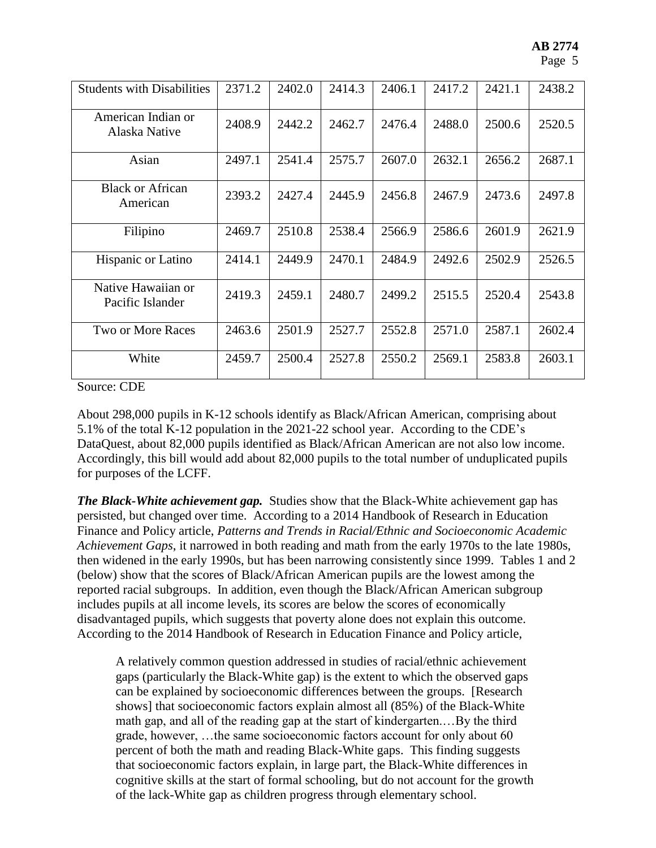| <b>Students with Disabilities</b>      | 2371.2 | 2402.0 | 2414.3 | 2406.1 | 2417.2 | 2421.1 | 2438.2 |
|----------------------------------------|--------|--------|--------|--------|--------|--------|--------|
| American Indian or<br>Alaska Native    | 2408.9 | 2442.2 | 2462.7 | 2476.4 | 2488.0 | 2500.6 | 2520.5 |
| Asian                                  | 2497.1 | 2541.4 | 2575.7 | 2607.0 | 2632.1 | 2656.2 | 2687.1 |
| <b>Black or African</b><br>American    | 2393.2 | 2427.4 | 2445.9 | 2456.8 | 2467.9 | 2473.6 | 2497.8 |
| Filipino                               | 2469.7 | 2510.8 | 2538.4 | 2566.9 | 2586.6 | 2601.9 | 2621.9 |
| Hispanic or Latino                     | 2414.1 | 2449.9 | 2470.1 | 2484.9 | 2492.6 | 2502.9 | 2526.5 |
| Native Hawaiian or<br>Pacific Islander | 2419.3 | 2459.1 | 2480.7 | 2499.2 | 2515.5 | 2520.4 | 2543.8 |
| <b>Two or More Races</b>               | 2463.6 | 2501.9 | 2527.7 | 2552.8 | 2571.0 | 2587.1 | 2602.4 |
| White                                  | 2459.7 | 2500.4 | 2527.8 | 2550.2 | 2569.1 | 2583.8 | 2603.1 |

Source: CDE

About 298,000 pupils in K-12 schools identify as Black/African American, comprising about 5.1% of the total K-12 population in the 2021-22 school year. According to the CDE's DataQuest, about 82,000 pupils identified as Black/African American are not also low income. Accordingly, this bill would add about 82,000 pupils to the total number of unduplicated pupils for purposes of the LCFF.

*The Black-White achievement gap.* Studies show that the Black-White achievement gap has persisted, but changed over time. According to a 2014 Handbook of Research in Education Finance and Policy article, *Patterns and Trends in Racial/Ethnic and Socioeconomic Academic Achievement Gaps*, it narrowed in both reading and math from the early 1970s to the late 1980s, then widened in the early 1990s, but has been narrowing consistently since 1999. Tables 1 and 2 (below) show that the scores of Black/African American pupils are the lowest among the reported racial subgroups. In addition, even though the Black/African American subgroup includes pupils at all income levels, its scores are below the scores of economically disadvantaged pupils, which suggests that poverty alone does not explain this outcome. According to the 2014 Handbook of Research in Education Finance and Policy article,

A relatively common question addressed in studies of racial/ethnic achievement gaps (particularly the Black-White gap) is the extent to which the observed gaps can be explained by socioeconomic differences between the groups. [Research shows] that socioeconomic factors explain almost all (85%) of the Black-White math gap, and all of the reading gap at the start of kindergarten.…By the third grade, however, …the same socioeconomic factors account for only about 60 percent of both the math and reading Black-White gaps. This finding suggests that socioeconomic factors explain, in large part, the Black-White differences in cognitive skills at the start of formal schooling, but do not account for the growth of the lack-White gap as children progress through elementary school.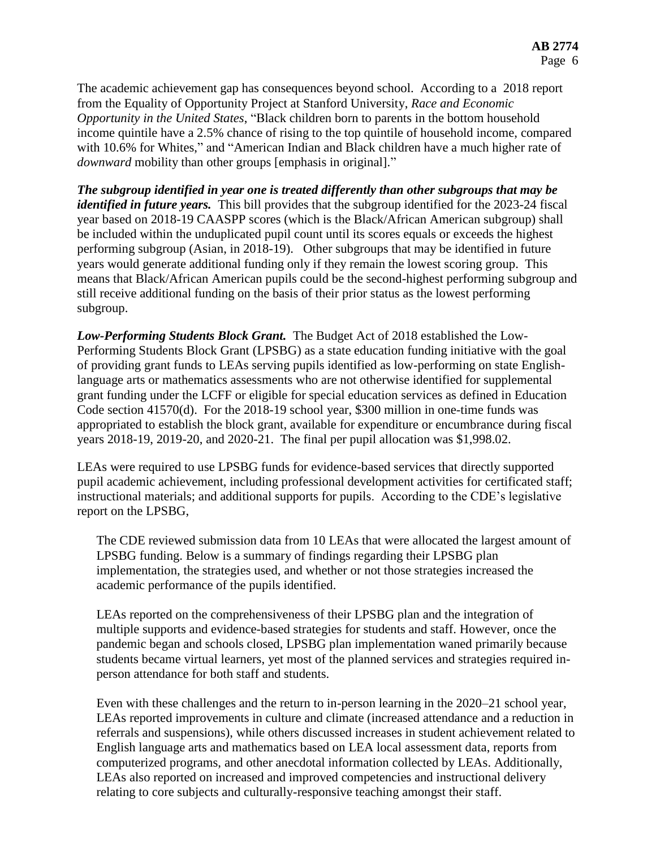The academic achievement gap has consequences beyond school. According to a 2018 report from the Equality of Opportunity Project at Stanford University, *Race and Economic Opportunity in the United States*, "Black children born to parents in the bottom household income quintile have a 2.5% chance of rising to the top quintile of household income, compared with 10.6% for Whites," and "American Indian and Black children have a much higher rate of *downward* mobility than other groups [emphasis in original]."

*The subgroup identified in year one is treated differently than other subgroups that may be identified in future years.* This bill provides that the subgroup identified for the 2023-24 fiscal year based on 2018-19 CAASPP scores (which is the Black/African American subgroup) shall be included within the unduplicated pupil count until its scores equals or exceeds the highest performing subgroup (Asian, in 2018-19). Other subgroups that may be identified in future years would generate additional funding only if they remain the lowest scoring group. This means that Black/African American pupils could be the second-highest performing subgroup and still receive additional funding on the basis of their prior status as the lowest performing subgroup.

*Low-Performing Students Block Grant.* The Budget Act of 2018 established the Low-Performing Students Block Grant (LPSBG) as a state education funding initiative with the goal of providing grant funds to LEAs serving pupils identified as low-performing on state Englishlanguage arts or mathematics assessments who are not otherwise identified for supplemental grant funding under the LCFF or eligible for special education services as defined in Education Code section 41570(d). For the 2018-19 school year, \$300 million in one-time funds was appropriated to establish the block grant, available for expenditure or encumbrance during fiscal years 2018-19, 2019-20, and 2020-21. The final per pupil allocation was \$1,998.02.

LEAs were required to use LPSBG funds for evidence-based services that directly supported pupil academic achievement, including professional development activities for certificated staff; instructional materials; and additional supports for pupils. According to the CDE's legislative report on the LPSBG,

The CDE reviewed submission data from 10 LEAs that were allocated the largest amount of LPSBG funding. Below is a summary of findings regarding their LPSBG plan implementation, the strategies used, and whether or not those strategies increased the academic performance of the pupils identified.

LEAs reported on the comprehensiveness of their LPSBG plan and the integration of multiple supports and evidence-based strategies for students and staff. However, once the pandemic began and schools closed, LPSBG plan implementation waned primarily because students became virtual learners, yet most of the planned services and strategies required inperson attendance for both staff and students.

Even with these challenges and the return to in-person learning in the 2020–21 school year, LEAs reported improvements in culture and climate (increased attendance and a reduction in referrals and suspensions), while others discussed increases in student achievement related to English language arts and mathematics based on LEA local assessment data, reports from computerized programs, and other anecdotal information collected by LEAs. Additionally, LEAs also reported on increased and improved competencies and instructional delivery relating to core subjects and culturally-responsive teaching amongst their staff.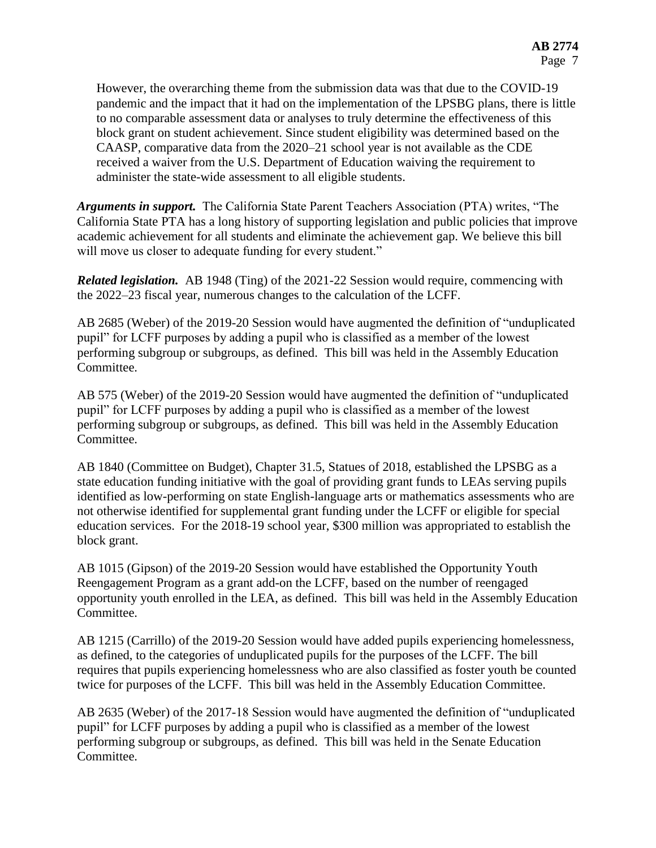However, the overarching theme from the submission data was that due to the COVID-19 pandemic and the impact that it had on the implementation of the LPSBG plans, there is little to no comparable assessment data or analyses to truly determine the effectiveness of this block grant on student achievement. Since student eligibility was determined based on the CAASP, comparative data from the 2020–21 school year is not available as the CDE received a waiver from the U.S. Department of Education waiving the requirement to administer the state-wide assessment to all eligible students.

*Arguments in support.* The California State Parent Teachers Association (PTA) writes, "The California State PTA has a long history of supporting legislation and public policies that improve academic achievement for all students and eliminate the achievement gap. We believe this bill will move us closer to adequate funding for every student."

*Related legislation.* AB 1948 (Ting) of the 2021-22 Session would require, commencing with the 2022–23 fiscal year, numerous changes to the calculation of the LCFF.

AB 2685 (Weber) of the 2019-20 Session would have augmented the definition of "unduplicated pupil" for LCFF purposes by adding a pupil who is classified as a member of the lowest performing subgroup or subgroups, as defined. This bill was held in the Assembly Education Committee.

AB 575 (Weber) of the 2019-20 Session would have augmented the definition of "unduplicated pupil" for LCFF purposes by adding a pupil who is classified as a member of the lowest performing subgroup or subgroups, as defined. This bill was held in the Assembly Education Committee.

AB 1840 (Committee on Budget), Chapter 31.5, Statues of 2018, established the LPSBG as a state education funding initiative with the goal of providing grant funds to LEAs serving pupils identified as low-performing on state English-language arts or mathematics assessments who are not otherwise identified for supplemental grant funding under the LCFF or eligible for special education services. For the 2018-19 school year, \$300 million was appropriated to establish the block grant.

AB 1015 (Gipson) of the 2019-20 Session would have established the Opportunity Youth Reengagement Program as a grant add-on the LCFF, based on the number of reengaged opportunity youth enrolled in the LEA, as defined. This bill was held in the Assembly Education Committee.

AB 1215 (Carrillo) of the 2019-20 Session would have added pupils experiencing homelessness, as defined, to the categories of unduplicated pupils for the purposes of the LCFF. The bill requires that pupils experiencing homelessness who are also classified as foster youth be counted twice for purposes of the LCFF. This bill was held in the Assembly Education Committee.

AB 2635 (Weber) of the 2017-18 Session would have augmented the definition of "unduplicated pupil" for LCFF purposes by adding a pupil who is classified as a member of the lowest performing subgroup or subgroups, as defined. This bill was held in the Senate Education Committee.